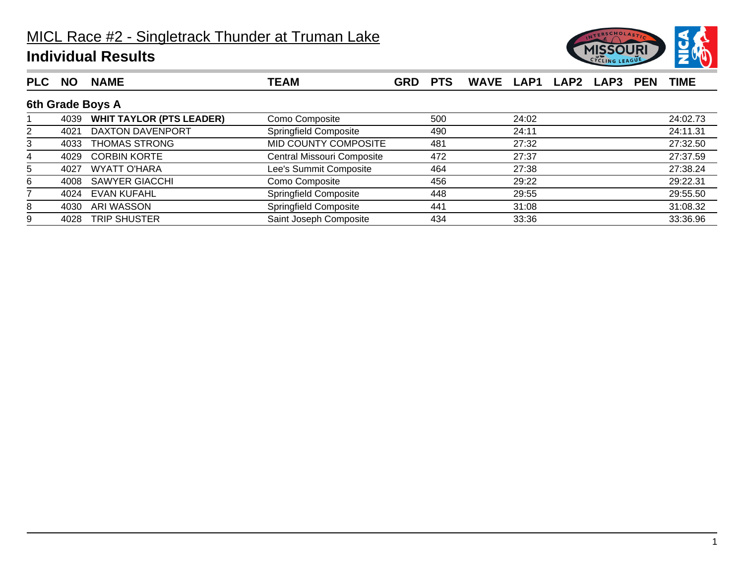

| <b>PLC</b> | <b>NO</b> | <b>NAME</b>                     | TEAM                       | <b>GRD</b> | <b>PTS</b> |       | WAVE LAP1 LAP2 LAP3 | <b>PEN</b> | <b>TIME</b> |
|------------|-----------|---------------------------------|----------------------------|------------|------------|-------|---------------------|------------|-------------|
|            |           | 6th Grade Boys A                |                            |            |            |       |                     |            |             |
|            | 4039      | <b>WHIT TAYLOR (PTS LEADER)</b> | Como Composite             |            | 500        | 24:02 |                     |            | 24:02.73    |
| 2          | 4021      | DAXTON DAVENPORT                | Springfield Composite      |            | 490        | 24:11 |                     |            | 24:11.31    |
| 3          | 4033      | <b>THOMAS STRONG</b>            | MID COUNTY COMPOSITE       |            | 481        | 27:32 |                     |            | 27:32.50    |
| 4          | 4029      | <b>CORBIN KORTE</b>             | Central Missouri Composite |            | 472        | 27:37 |                     |            | 27:37.59    |
| 5          | 4027      | <b>WYATT O'HARA</b>             | Lee's Summit Composite     |            | 464        | 27:38 |                     |            | 27:38.24    |
| 6          | 4008      | <b>SAWYER GIACCHI</b>           | Como Composite             |            | 456        | 29:22 |                     |            | 29:22.31    |
|            | 4024      | <b>EVAN KUFAHL</b>              | Springfield Composite      |            | 448        | 29:55 |                     |            | 29:55.50    |
| 8          | 4030      | ARI WASSON                      | Springfield Composite      |            | 441        | 31:08 |                     |            | 31:08.32    |
| 9          | 4028      | <b>TRIP SHUSTER</b>             | Saint Joseph Composite     |            | 434        | 33:36 |                     |            | 33:36.96    |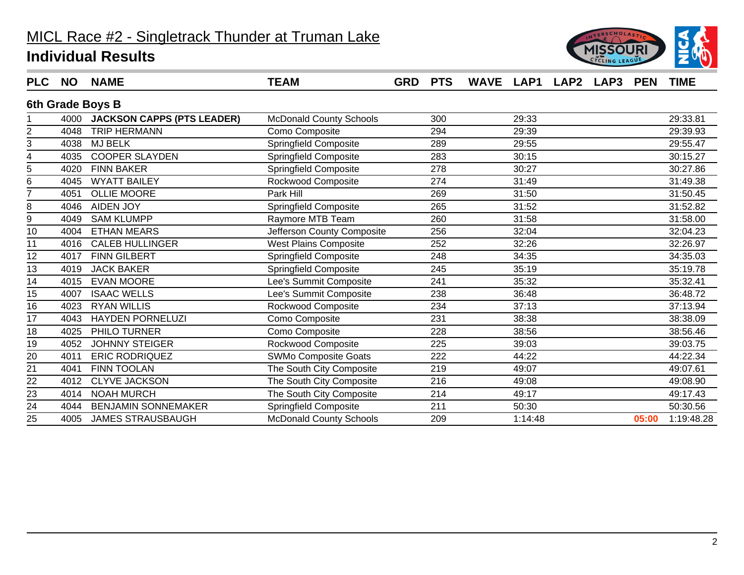

| <b>PLC</b> | <b>NO</b> | <b>NAME</b>                     | <b>TEAM</b>                    | <b>GRD PTS</b> |     | WAVE LAP1 LAP2 LAP3 PEN |         |  |       | <b>TIME</b> |
|------------|-----------|---------------------------------|--------------------------------|----------------|-----|-------------------------|---------|--|-------|-------------|
|            |           | 6th Grade Boys B                |                                |                |     |                         |         |  |       |             |
|            |           | 4000 JACKSON CAPPS (PTS LEADER) | <b>McDonald County Schools</b> |                | 300 |                         | 29:33   |  |       | 29:33.81    |
| 2          | 4048      | <b>TRIP HERMANN</b>             | Como Composite                 |                | 294 |                         | 29:39   |  |       | 29:39.93    |
| 3          | 4038      | <b>MJ BELK</b>                  | <b>Springfield Composite</b>   |                | 289 |                         | 29:55   |  |       | 29:55.47    |
| 4          | 4035      | <b>COOPER SLAYDEN</b>           | <b>Springfield Composite</b>   |                | 283 |                         | 30:15   |  |       | 30:15.27    |
| 5          | 4020      | <b>FINN BAKER</b>               | <b>Springfield Composite</b>   |                | 278 |                         | 30:27   |  |       | 30:27.86    |
| 6          | 4045      | <b>WYATT BAILEY</b>             | Rockwood Composite             |                | 274 |                         | 31:49   |  |       | 31:49.38    |
|            | 4051      | <b>OLLIE MOORE</b>              | Park Hill                      |                | 269 |                         | 31:50   |  |       | 31:50.45    |
| 8          | 4046      | <b>AIDEN JOY</b>                | Springfield Composite          |                | 265 |                         | 31:52   |  |       | 31:52.82    |
| 9          | 4049      | <b>SAM KLUMPP</b>               | Raymore MTB Team               |                | 260 |                         | 31:58   |  |       | 31:58.00    |
| 10         | 4004      | <b>ETHAN MEARS</b>              | Jefferson County Composite     |                | 256 |                         | 32:04   |  |       | 32:04.23    |
| 11         | 4016      | <b>CALEB HULLINGER</b>          | <b>West Plains Composite</b>   |                | 252 |                         | 32:26   |  |       | 32:26.97    |
| 12         | 4017      | <b>FINN GILBERT</b>             | <b>Springfield Composite</b>   |                | 248 |                         | 34:35   |  |       | 34:35.03    |
| 13         | 4019      | <b>JACK BAKER</b>               | Springfield Composite          |                | 245 |                         | 35:19   |  |       | 35:19.78    |
| 14         | 4015      | <b>EVAN MOORE</b>               | Lee's Summit Composite         |                | 241 |                         | 35:32   |  |       | 35:32.41    |
| 15         | 4007      | <b>ISAAC WELLS</b>              | Lee's Summit Composite         |                | 238 |                         | 36:48   |  |       | 36:48.72    |
| 16         | 4023      | <b>RYAN WILLIS</b>              | Rockwood Composite             |                | 234 |                         | 37:13   |  |       | 37:13.94    |
| 17         | 4043      | <b>HAYDEN PORNELUZI</b>         | Como Composite                 |                | 231 |                         | 38:38   |  |       | 38:38.09    |
| 18         | 4025      | PHILO TURNER                    | Como Composite                 |                | 228 |                         | 38:56   |  |       | 38:56.46    |
| 19         | 4052      | <b>JOHNNY STEIGER</b>           | Rockwood Composite             |                | 225 |                         | 39:03   |  |       | 39:03.75    |
| 20         | 4011      | <b>ERIC RODRIQUEZ</b>           | SWMo Composite Goats           |                | 222 |                         | 44:22   |  |       | 44:22.34    |
| 21         | 4041      | <b>FINN TOOLAN</b>              | The South City Composite       |                | 219 |                         | 49:07   |  |       | 49:07.61    |
| 22         | 4012      | <b>CLYVE JACKSON</b>            | The South City Composite       |                | 216 |                         | 49:08   |  |       | 49:08.90    |
| 23         | 4014      | <b>NOAH MURCH</b>               | The South City Composite       |                | 214 |                         | 49:17   |  |       | 49:17.43    |
| 24         | 4044      | <b>BENJAMIN SONNEMAKER</b>      | Springfield Composite          |                | 211 |                         | 50:30   |  |       | 50:30.56    |
| 25         | 4005      | <b>JAMES STRAUSBAUGH</b>        | <b>McDonald County Schools</b> |                | 209 |                         | 1:14:48 |  | 05:00 | 1:19:48.28  |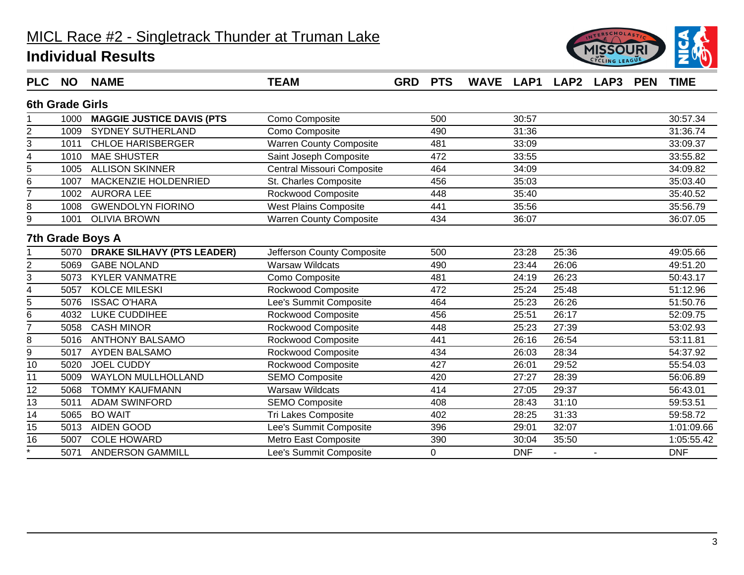

| <b>PLC</b>              | <b>NO</b>              | <b>NAME</b>                       | <b>TEAM</b>                    | <b>GRD</b> | <b>PTS</b> | WAVE LAP1 LAP2 LAP3 |            |       | <b>PEN</b> | <b>TIME</b> |
|-------------------------|------------------------|-----------------------------------|--------------------------------|------------|------------|---------------------|------------|-------|------------|-------------|
|                         | <b>6th Grade Girls</b> |                                   |                                |            |            |                     |            |       |            |             |
|                         | 1000                   | <b>MAGGIE JUSTICE DAVIS (PTS</b>  | Como Composite                 |            | 500        |                     | 30:57      |       |            | 30:57.34    |
| $\overline{2}$          | 1009                   | <b>SYDNEY SUTHERLAND</b>          | Como Composite                 |            | 490        |                     | 31:36      |       |            | 31:36.74    |
| 3                       | 1011                   | <b>CHLOE HARISBERGER</b>          | <b>Warren County Composite</b> |            | 481        |                     | 33:09      |       |            | 33:09.37    |
| 4                       | 1010                   | <b>MAE SHUSTER</b>                | Saint Joseph Composite         |            | 472        |                     | 33:55      |       |            | 33:55.82    |
| 5                       | 1005                   | <b>ALLISON SKINNER</b>            | Central Missouri Composite     |            | 464        |                     | 34:09      |       |            | 34:09.82    |
| 6                       | 1007                   | MACKENZIE HOLDENRIED              | St. Charles Composite          |            | 456        |                     | 35:03      |       |            | 35:03.40    |
| $\overline{7}$          | 1002                   | <b>AURORA LEE</b>                 | Rockwood Composite             |            | 448        |                     | 35:40      |       |            | 35:40.52    |
| 8                       | 1008                   | <b>GWENDOLYN FIORINO</b>          | <b>West Plains Composite</b>   |            | 441        |                     | 35:56      |       |            | 35:56.79    |
| 9                       | 1001                   | <b>OLIVIA BROWN</b>               | <b>Warren County Composite</b> |            | 434        |                     | 36:07      |       |            | 36:07.05    |
|                         |                        | 7th Grade Boys A                  |                                |            |            |                     |            |       |            |             |
|                         | 5070                   | <b>DRAKE SILHAVY (PTS LEADER)</b> | Jefferson County Composite     |            | 500        |                     | 23:28      | 25:36 |            | 49:05.66    |
| $\overline{\mathbf{c}}$ | 5069                   | <b>GABE NOLAND</b>                | <b>Warsaw Wildcats</b>         |            | 490        |                     | 23:44      | 26:06 |            | 49:51.20    |
| 3                       | 5073                   | <b>KYLER VANMATRE</b>             | Como Composite                 |            | 481        |                     | 24:19      | 26:23 |            | 50:43.17    |
| 4                       | 5057                   | <b>KOLCE MILESKI</b>              | Rockwood Composite             |            | 472        |                     | 25:24      | 25:48 |            | 51:12.96    |
| 5                       | 5076                   | <b>ISSAC O'HARA</b>               | Lee's Summit Composite         |            | 464        |                     | 25:23      | 26:26 |            | 51:50.76    |
| 6                       | 4032                   | LUKE CUDDIHEE                     | Rockwood Composite             |            | 456        |                     | 25:51      | 26:17 |            | 52:09.75    |
| 7                       | 5058                   | <b>CASH MINOR</b>                 | Rockwood Composite             |            | 448        |                     | 25:23      | 27:39 |            | 53:02.93    |
| 8                       | 5016                   | <b>ANTHONY BALSAMO</b>            | Rockwood Composite             |            | 441        |                     | 26:16      | 26:54 |            | 53:11.81    |
| 9                       | 5017                   | <b>AYDEN BALSAMO</b>              | Rockwood Composite             |            | 434        |                     | 26:03      | 28:34 |            | 54:37.92    |
| 10                      | 5020                   | <b>JOEL CUDDY</b>                 | Rockwood Composite             |            | 427        |                     | 26:01      | 29:52 |            | 55:54.03    |
| 11                      | 5009                   | <b>WAYLON MULLHOLLAND</b>         | <b>SEMO Composite</b>          |            | 420        |                     | 27:27      | 28:39 |            | 56:06.89    |
| 12                      | 5068                   | <b>TOMMY KAUFMANN</b>             | <b>Warsaw Wildcats</b>         |            | 414        |                     | 27:05      | 29:37 |            | 56:43.01    |
| 13                      | 5011                   | <b>ADAM SWINFORD</b>              | <b>SEMO Composite</b>          |            | 408        |                     | 28:43      | 31:10 |            | 59:53.51    |
| 14                      | 5065                   | <b>BO WAIT</b>                    | <b>Tri Lakes Composite</b>     |            | 402        |                     | 28:25      | 31:33 |            | 59:58.72    |
| 15                      | 5013                   | AIDEN GOOD                        | Lee's Summit Composite         |            | 396        |                     | 29:01      | 32:07 |            | 1:01:09.66  |
| 16                      | 5007                   | <b>COLE HOWARD</b>                | Metro East Composite           |            | 390        |                     | 30:04      | 35:50 |            | 1:05:55.42  |
|                         | 5071                   | <b>ANDERSON GAMMILL</b>           | Lee's Summit Composite         |            | 0          |                     | <b>DNF</b> |       |            | <b>DNF</b>  |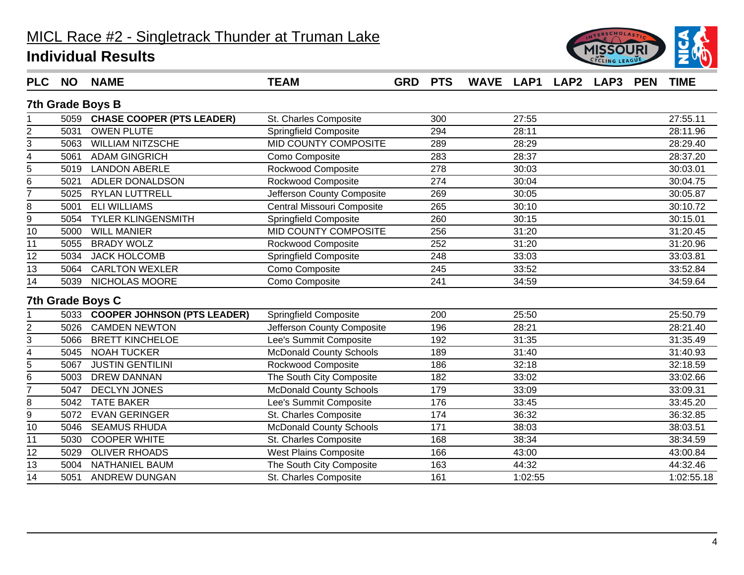

| <b>PLC</b>              | <b>NO</b> | <b>NAME</b>                      | <b>TEAM</b>                    | <b>GRD</b> | <b>PTS</b>       | WAVE LAP1 LAP2 LAP3 |         |  | <b>PEN</b> | <b>TIME</b> |
|-------------------------|-----------|----------------------------------|--------------------------------|------------|------------------|---------------------|---------|--|------------|-------------|
|                         |           | 7th Grade Boys B                 |                                |            |                  |                     |         |  |            |             |
|                         |           | 5059 CHASE COOPER (PTS LEADER)   | St. Charles Composite          |            | 300              |                     | 27:55   |  |            | 27:55.11    |
| $\overline{2}$          | 5031      | <b>OWEN PLUTE</b>                | <b>Springfield Composite</b>   |            | 294              |                     | 28:11   |  |            | 28:11.96    |
| 3                       | 5063      | <b>WILLIAM NITZSCHE</b>          | MID COUNTY COMPOSITE           |            | 289              |                     | 28:29   |  |            | 28:29.40    |
| 4                       | 5061      | <b>ADAM GINGRICH</b>             | Como Composite                 |            | 283              |                     | 28:37   |  |            | 28:37.20    |
| $\overline{5}$          | 5019      | <b>LANDON ABERLE</b>             | Rockwood Composite             |            | 278              |                     | 30:03   |  |            | 30:03.01    |
| 6                       | 5021      | ADLER DONALDSON                  | Rockwood Composite             |            | 274              |                     | 30:04   |  |            | 30:04.75    |
| $\overline{7}$          | 5025      | <b>RYLAN LUTTRELL</b>            | Jefferson County Composite     |            | 269              |                     | 30:05   |  |            | 30:05.87    |
| 8                       | 5001      | <b>ELI WILLIAMS</b>              | Central Missouri Composite     |            | 265              |                     | 30:10   |  |            | 30:10.72    |
| $\overline{9}$          | 5054      | <b>TYLER KLINGENSMITH</b>        | <b>Springfield Composite</b>   |            | 260              |                     | 30:15   |  |            | 30:15.01    |
| 10                      | 5000      | <b>WILL MANIER</b>               | MID COUNTY COMPOSITE           |            | 256              |                     | 31:20   |  |            | 31:20.45    |
| 11                      | 5055      | <b>BRADY WOLZ</b>                | Rockwood Composite             |            | 252              |                     | 31:20   |  |            | 31:20.96    |
| 12                      | 5034      | <b>JACK HOLCOMB</b>              | Springfield Composite          |            | 248              |                     | 33:03   |  |            | 33:03.81    |
| 13                      | 5064      | <b>CARLTON WEXLER</b>            | Como Composite                 |            | 245              |                     | 33:52   |  |            | 33:52.84    |
| 14                      | 5039      | NICHOLAS MOORE                   | Como Composite                 |            | 241              |                     | 34:59   |  |            | 34:59.64    |
|                         |           | <b>7th Grade Boys C</b>          |                                |            |                  |                     |         |  |            |             |
|                         |           | 5033 COOPER JOHNSON (PTS LEADER) | <b>Springfield Composite</b>   |            | 200              |                     | 25:50   |  |            | 25:50.79    |
| $\mathbf 2$             | 5026      | <b>CAMDEN NEWTON</b>             | Jefferson County Composite     |            | 196              |                     | 28:21   |  |            | 28:21.40    |
| 3                       | 5066      | <b>BRETT KINCHELOE</b>           | Lee's Summit Composite         |            | 192              |                     | 31:35   |  |            | 31:35.49    |
| $\overline{\mathbf{4}}$ | 5045      | <b>NOAH TUCKER</b>               | <b>McDonald County Schools</b> |            | 189              |                     | 31:40   |  |            | 31:40.93    |
| 5                       | 5067      | <b>JUSTIN GENTILINI</b>          | Rockwood Composite             |            | 186              |                     | 32:18   |  |            | 32:18.59    |
| 6                       | 5003      | <b>DREW DANNAN</b>               | The South City Composite       |            | 182              |                     | 33:02   |  |            | 33:02.66    |
| $\overline{7}$          | 5047      | <b>DECLYN JONES</b>              | <b>McDonald County Schools</b> |            | 179              |                     | 33:09   |  |            | 33:09.31    |
| 8                       | 5042      | <b>TATE BAKER</b>                | Lee's Summit Composite         |            | 176              |                     | 33:45   |  |            | 33:45.20    |
| 9                       | 5072      | <b>EVAN GERINGER</b>             | St. Charles Composite          |            | 174              |                     | 36:32   |  |            | 36:32.85    |
| 10                      | 5046      | <b>SEAMUS RHUDA</b>              | <b>McDonald County Schools</b> |            | $\overline{171}$ |                     | 38:03   |  |            | 38:03.51    |
| 11                      | 5030      | <b>COOPER WHITE</b>              | St. Charles Composite          |            | 168              |                     | 38:34   |  |            | 38:34.59    |
| $\overline{12}$         | 5029      | <b>OLIVER RHOADS</b>             | <b>West Plains Composite</b>   |            | 166              |                     | 43:00   |  |            | 43:00.84    |
| 13                      | 5004      | NATHANIEL BAUM                   | The South City Composite       |            | 163              |                     | 44:32   |  |            | 44:32.46    |
| 14                      | 5051      | ANDREW DUNGAN                    | St. Charles Composite          |            | 161              |                     | 1:02:55 |  |            | 1:02:55.18  |
|                         |           |                                  |                                |            |                  |                     |         |  |            |             |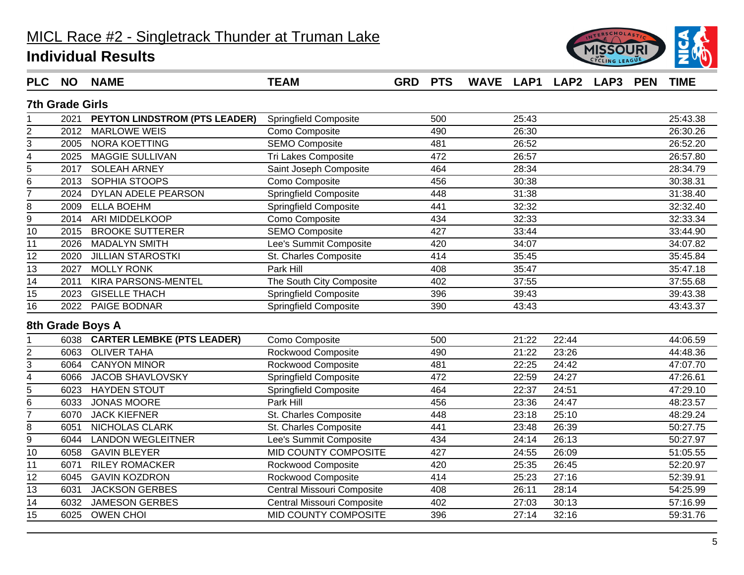

| <b>PLC</b>              | <b>NO</b>              | <b>NAME</b>                     | <b>TEAM</b>                  | <b>GRD</b> | <b>PTS</b> | WAVE LAP1 LAP2 LAP3 |       |       | <b>PEN</b> | <b>TIME</b> |
|-------------------------|------------------------|---------------------------------|------------------------------|------------|------------|---------------------|-------|-------|------------|-------------|
|                         | <b>7th Grade Girls</b> |                                 |                              |            |            |                     |       |       |            |             |
|                         | 2021                   | PEYTON LINDSTROM (PTS LEADER)   | Springfield Composite        |            | 500        |                     | 25:43 |       |            | 25:43.38    |
| $\overline{2}$          | 2012                   | <b>MARLOWE WEIS</b>             | Como Composite               |            | 490        |                     | 26:30 |       |            | 26:30.26    |
| 3                       | 2005                   | <b>NORA KOETTING</b>            | SEMO Composite               |            | 481        |                     | 26:52 |       |            | 26:52.20    |
| $\overline{\mathbf{4}}$ | 2025                   | <b>MAGGIE SULLIVAN</b>          | <b>Tri Lakes Composite</b>   |            | 472        |                     | 26:57 |       |            | 26:57.80    |
| 5                       | 2017                   | <b>SOLEAH ARNEY</b>             | Saint Joseph Composite       |            | 464        |                     | 28:34 |       |            | 28:34.79    |
| 6                       | 2013                   | SOPHIA STOOPS                   | Como Composite               |            | 456        |                     | 30:38 |       |            | 30:38.31    |
| $\overline{7}$          | 2024                   | DYLAN ADELE PEARSON             | <b>Springfield Composite</b> |            | 448        |                     | 31:38 |       |            | 31:38.40    |
| 8                       | 2009                   | <b>ELLA BOEHM</b>               | Springfield Composite        |            | 441        |                     | 32:32 |       |            | 32:32.40    |
| 9                       | 2014                   | ARI MIDDELKOOP                  | Como Composite               |            | 434        |                     | 32:33 |       |            | 32:33.34    |
| 10                      | 2015                   | <b>BROOKE SUTTERER</b>          | <b>SEMO Composite</b>        |            | 427        |                     | 33:44 |       |            | 33:44.90    |
| 11                      | 2026                   | <b>MADALYN SMITH</b>            | Lee's Summit Composite       |            | 420        |                     | 34:07 |       |            | 34:07.82    |
| 12                      | 2020                   | <b>JILLIAN STAROSTKI</b>        | St. Charles Composite        |            | 414        |                     | 35:45 |       |            | 35:45.84    |
| 13                      | 2027                   | <b>MOLLY RONK</b>               | Park Hill                    |            | 408        |                     | 35:47 |       |            | 35:47.18    |
| 14                      | 2011                   | KIRA PARSONS-MENTEL             | The South City Composite     |            | 402        |                     | 37:55 |       |            | 37:55.68    |
| 15                      | 2023                   | <b>GISELLE THACH</b>            | <b>Springfield Composite</b> |            | 396        |                     | 39:43 |       |            | 39:43.38    |
| 16                      | 2022                   | PAIGE BODNAR                    | <b>Springfield Composite</b> |            | 390        |                     | 43:43 |       |            | 43:43.37    |
|                         |                        | 8th Grade Boys A                |                              |            |            |                     |       |       |            |             |
|                         |                        | 6038 CARTER LEMBKE (PTS LEADER) | Como Composite               |            | 500        |                     | 21:22 | 22:44 |            | 44:06.59    |
| $\overline{c}$          | 6063                   | <b>OLIVER TAHA</b>              | Rockwood Composite           |            | 490        |                     | 21:22 | 23:26 |            | 44:48.36    |
| $\overline{3}$          | 6064                   | <b>CANYON MINOR</b>             | Rockwood Composite           |            | 481        |                     | 22:25 | 24:42 |            | 47:07.70    |
| $\overline{4}$          | 6066                   | <b>JACOB SHAVLOVSKY</b>         | <b>Springfield Composite</b> |            | 472        |                     | 22:59 | 24:27 |            | 47:26.61    |
| $\overline{5}$          | 6023                   | <b>HAYDEN STOUT</b>             | <b>Springfield Composite</b> |            | 464        |                     | 22:37 | 24:51 |            | 47:29.10    |
| 6                       | 6033                   | <b>JONAS MOORE</b>              | Park Hill                    |            | 456        |                     | 23:36 | 24:47 |            | 48:23.57    |
| $\overline{7}$          | 6070                   | <b>JACK KIEFNER</b>             | St. Charles Composite        |            | 448        |                     | 23:18 | 25:10 |            | 48:29.24    |
| 8                       | 6051                   | NICHOLAS CLARK                  | St. Charles Composite        |            | 441        |                     | 23:48 | 26:39 |            | 50:27.75    |
| 9                       | 6044                   | <b>LANDON WEGLEITNER</b>        | Lee's Summit Composite       |            | 434        |                     | 24:14 | 26:13 |            | 50:27.97    |
| 10                      | 6058                   | <b>GAVIN BLEYER</b>             | <b>MID COUNTY COMPOSITE</b>  |            | 427        |                     | 24:55 | 26:09 |            | 51:05.55    |
| 11                      | 6071                   | <b>RILEY ROMACKER</b>           | Rockwood Composite           |            | 420        |                     | 25:35 | 26:45 |            | 52:20.97    |
| 12                      | 6045                   | <b>GAVIN KOZDRON</b>            | Rockwood Composite           |            | 414        |                     | 25:23 | 27:16 |            | 52:39.91    |
| 13                      | 6031                   | <b>JACKSON GERBES</b>           | Central Missouri Composite   |            | 408        |                     | 26:11 | 28:14 |            | 54:25.99    |
| 14                      | 6032                   | <b>JAMESON GERBES</b>           | Central Missouri Composite   |            | 402        |                     | 27:03 | 30:13 |            | 57:16.99    |
| 15                      |                        | 6025 OWEN CHOI                  | MID COUNTY COMPOSITE         |            | 396        |                     | 27:14 | 32:16 |            | 59:31.76    |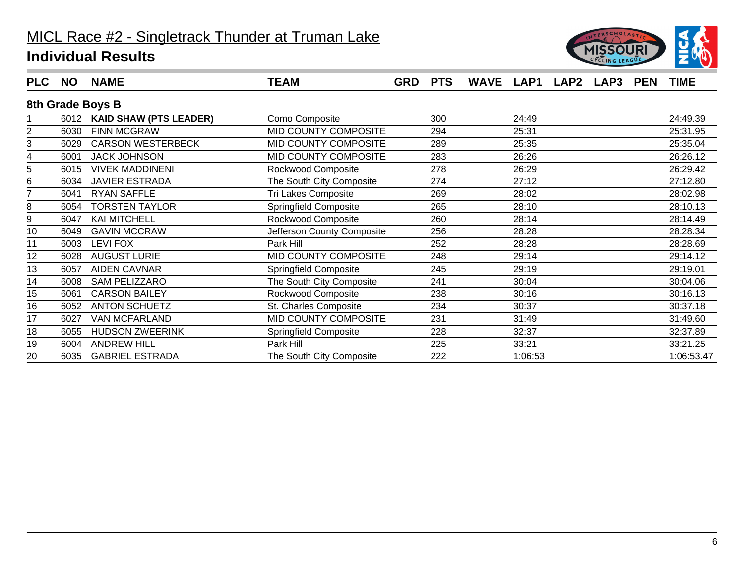

| <b>PLC</b> | <b>NO</b> | <b>NAME</b>                 | <b>TEAM</b>                | <b>GRD</b> | <b>PTS</b> | <b>WAVE</b> | LAP1    | <b>LAP2</b> | LAP3 | <b>PEN</b> | TIME       |
|------------|-----------|-----------------------------|----------------------------|------------|------------|-------------|---------|-------------|------|------------|------------|
|            |           | 8th Grade Boys B            |                            |            |            |             |         |             |      |            |            |
|            |           | 6012 KAID SHAW (PTS LEADER) | Como Composite             |            | 300        |             | 24:49   |             |      |            | 24:49.39   |
|            | 6030      | <b>FINN MCGRAW</b>          | MID COUNTY COMPOSITE       |            | 294        |             | 25:31   |             |      |            | 25:31.95   |
| 3          | 6029      | <b>CARSON WESTERBECK</b>    | MID COUNTY COMPOSITE       |            | 289        |             | 25:35   |             |      |            | 25:35.04   |
|            | 6001      | <b>JACK JOHNSON</b>         | MID COUNTY COMPOSITE       |            | 283        |             | 26:26   |             |      |            | 26:26.12   |
| 5          | 6015      | <b>VIVEK MADDINENI</b>      | Rockwood Composite         |            | 278        |             | 26:29   |             |      |            | 26:29.42   |
| 6          | 6034      | <b>JAVIER ESTRADA</b>       | The South City Composite   |            | 274        |             | 27:12   |             |      |            | 27:12.80   |
|            | 6041      | RYAN SAFFLE                 | Tri Lakes Composite        |            | 269        |             | 28:02   |             |      |            | 28:02.98   |
| 8          | 6054      | <b>TORSTEN TAYLOR</b>       | Springfield Composite      |            | 265        |             | 28:10   |             |      |            | 28:10.13   |
| 9          | 6047      | <b>KAI MITCHELL</b>         | Rockwood Composite         |            | 260        |             | 28:14   |             |      |            | 28:14.49   |
| 10         | 6049      | <b>GAVIN MCCRAW</b>         | Jefferson County Composite |            | 256        |             | 28:28   |             |      |            | 28:28.34   |
| 11         | 6003      | <b>LEVI FOX</b>             | Park Hill                  |            | 252        |             | 28:28   |             |      |            | 28:28.69   |
| 12         | 6028      | <b>AUGUST LURIE</b>         | MID COUNTY COMPOSITE       |            | 248        |             | 29:14   |             |      |            | 29:14.12   |
| 13         | 6057      | <b>AIDEN CAVNAR</b>         | Springfield Composite      |            | 245        |             | 29:19   |             |      |            | 29:19.01   |
| 14         | 6008      | SAM PELIZZARO               | The South City Composite   |            | 241        |             | 30:04   |             |      |            | 30:04.06   |
| 15         | 6061      | <b>CARSON BAILEY</b>        | Rockwood Composite         |            | 238        |             | 30:16   |             |      |            | 30:16.13   |
| 16         | 6052      | <b>ANTON SCHUETZ</b>        | St. Charles Composite      |            | 234        |             | 30:37   |             |      |            | 30:37.18   |
| 17         | 6027      | VAN MCFARLAND               | MID COUNTY COMPOSITE       |            | 231        |             | 31:49   |             |      |            | 31:49.60   |
| 18         | 6055      | <b>HUDSON ZWEERINK</b>      | Springfield Composite      |            | 228        |             | 32:37   |             |      |            | 32:37.89   |
| 19         | 6004      | <b>ANDREW HILL</b>          | Park Hill                  |            | 225        |             | 33:21   |             |      |            | 33:21.25   |
| 20         | 6035      | <b>GABRIEL ESTRADA</b>      | The South City Composite   |            | 222        |             | 1:06:53 |             |      |            | 1:06:53.47 |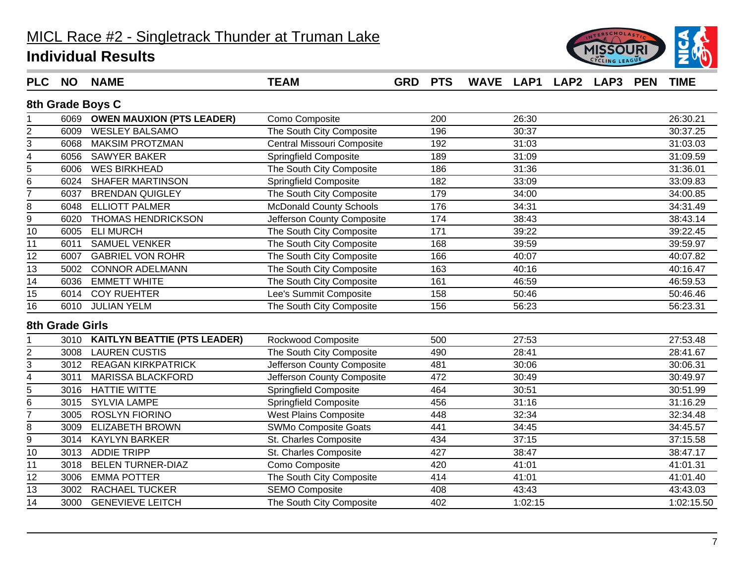

| <b>PLC</b>              | <b>NO</b>       | <b>NAME</b>                       | <b>TEAM</b>                    | <b>GRD</b> | <b>PTS</b> | WAVE LAP1 LAP2 |         | <b>LAP3</b> | <b>PEN</b> | <b>TIME</b> |
|-------------------------|-----------------|-----------------------------------|--------------------------------|------------|------------|----------------|---------|-------------|------------|-------------|
|                         |                 | 8th Grade Boys C                  |                                |            |            |                |         |             |            |             |
|                         |                 | 6069 OWEN MAUXION (PTS LEADER)    | Como Composite                 |            | 200        |                | 26:30   |             |            | 26:30.21    |
| $\overline{2}$          | 6009            | <b>WESLEY BALSAMO</b>             | The South City Composite       |            | 196        |                | 30:37   |             |            | 30:37.25    |
| 3                       | 6068            | <b>MAKSIM PROTZMAN</b>            | Central Missouri Composite     |            | 192        |                | 31:03   |             |            | 31:03.03    |
| 4                       | 6056            | <b>SAWYER BAKER</b>               | <b>Springfield Composite</b>   |            | 189        |                | 31:09   |             |            | 31:09.59    |
| $\overline{5}$          | 6006            | <b>WES BIRKHEAD</b>               | The South City Composite       |            | 186        |                | 31:36   |             |            | 31:36.01    |
| $\,6$                   | 6024            | <b>SHAFER MARTINSON</b>           | <b>Springfield Composite</b>   |            | 182        |                | 33:09   |             |            | 33:09.83    |
| $\overline{7}$          | 6037            | <b>BRENDAN QUIGLEY</b>            | The South City Composite       |            | 179        |                | 34:00   |             |            | 34:00.85    |
| 8                       | 6048            | <b>ELLIOTT PALMER</b>             | <b>McDonald County Schools</b> |            | 176        |                | 34:31   |             |            | 34:31.49    |
| $\overline{9}$          | 6020            | <b>THOMAS HENDRICKSON</b>         | Jefferson County Composite     |            | 174        |                | 38:43   |             |            | 38:43.14    |
| 10                      | 6005            | <b>ELI MURCH</b>                  | The South City Composite       |            | 171        |                | 39:22   |             |            | 39:22.45    |
| 11                      | 6011            | <b>SAMUEL VENKER</b>              | The South City Composite       |            | 168        |                | 39:59   |             |            | 39:59.97    |
| 12                      | 6007            | <b>GABRIEL VON ROHR</b>           | The South City Composite       |            | 166        |                | 40:07   |             |            | 40:07.82    |
| $\overline{13}$         | 5002            | <b>CONNOR ADELMANN</b>            | The South City Composite       |            | 163        |                | 40:16   |             |            | 40:16.47    |
| 14                      | 6036            | <b>EMMETT WHITE</b>               | The South City Composite       |            | 161        |                | 46:59   |             |            | 46:59.53    |
| $\overline{15}$         |                 | 6014 COY RUEHTER                  | Lee's Summit Composite         |            | 158        |                | 50:46   |             |            | 50:46.46    |
| 16                      | 6010            | <b>JULIAN YELM</b>                | The South City Composite       |            | 156        |                | 56:23   |             |            | 56:23.31    |
|                         | 8th Grade Girls |                                   |                                |            |            |                |         |             |            |             |
|                         |                 | 3010 KAITLYN BEATTIE (PTS LEADER) | Rockwood Composite             |            | 500        |                | 27:53   |             |            | 27:53.48    |
| $\overline{2}$          | 3008            | <b>LAUREN CUSTIS</b>              | The South City Composite       |            | 490        |                | 28:41   |             |            | 28:41.67    |
| 3                       |                 | 3012 REAGAN KIRKPATRICK           | Jefferson County Composite     |            | 481        |                | 30:06   |             |            | 30:06.31    |
| $\overline{\mathbf{4}}$ | 3011            | <b>MARISSA BLACKFORD</b>          | Jefferson County Composite     |            | 472        |                | 30:49   |             |            | 30:49.97    |
| $\overline{5}$          | 3016            | <b>HATTIE WITTE</b>               | <b>Springfield Composite</b>   |            | 464        |                | 30:51   |             |            | 30:51.99    |
| $\,6$                   | 3015            | <b>SYLVIA LAMPE</b>               | <b>Springfield Composite</b>   |            | 456        |                | 31:16   |             |            | 31:16.29    |
| $\overline{7}$          | 3005            | <b>ROSLYN FIORINO</b>             | <b>West Plains Composite</b>   |            | 448        |                | 32:34   |             |            | 32:34.48    |
| 8                       | 3009            | <b>ELIZABETH BROWN</b>            | SWMo Composite Goats           |            | 441        |                | 34:45   |             |            | 34:45.57    |
| 9                       | 3014            | <b>KAYLYN BARKER</b>              | St. Charles Composite          |            | 434        |                | 37:15   |             |            | 37:15.58    |
| 10                      |                 | 3013 ADDIE TRIPP                  | St. Charles Composite          |            | 427        |                | 38:47   |             |            | 38:47.17    |
| 11                      | 3018            | <b>BELEN TURNER-DIAZ</b>          | Como Composite                 |            | 420        |                | 41:01   |             |            | 41:01.31    |
| 12                      | 3006            | <b>EMMA POTTER</b>                | The South City Composite       |            | 414        |                | 41:01   |             |            | 41:01.40    |
| 13                      | 3002            | <b>RACHAEL TUCKER</b>             | <b>SEMO Composite</b>          |            | 408        |                | 43:43   |             |            | 43:43.03    |
| $\overline{14}$         |                 | 3000 GENEVIEVE LEITCH             | The South City Composite       |            | 402        |                | 1:02:15 |             |            | 1:02:15.50  |
|                         |                 |                                   |                                |            |            |                |         |             |            |             |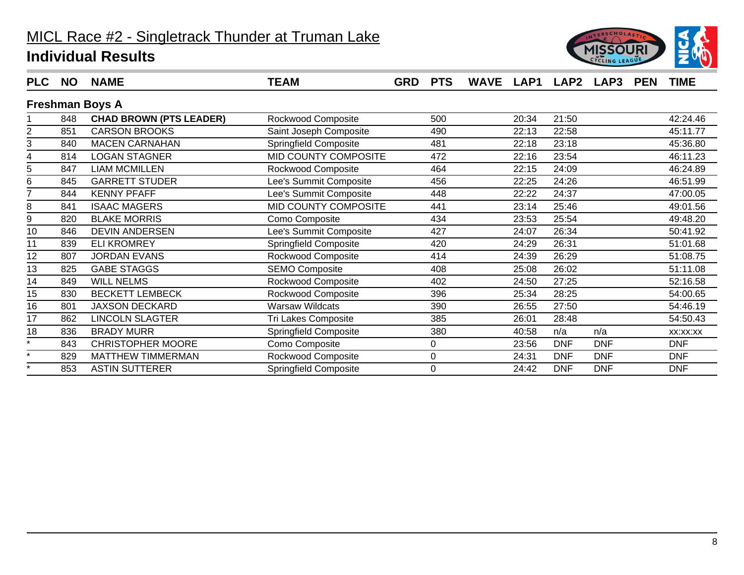

| <b>PLC</b> | <b>NO</b> | <b>NAME</b>                    | <b>TEAM</b>            | <b>GRD</b> | <b>PTS</b> | <b>WAVE</b> |       | LAP1 LAP2  | LAP3       | <b>PEN</b> | TIME       |
|------------|-----------|--------------------------------|------------------------|------------|------------|-------------|-------|------------|------------|------------|------------|
|            |           | <b>Freshman Boys A</b>         |                        |            |            |             |       |            |            |            |            |
|            | 848       | <b>CHAD BROWN (PTS LEADER)</b> | Rockwood Composite     |            | 500        |             | 20:34 | 21:50      |            |            | 42:24.46   |
| 2          | 851       | <b>CARSON BROOKS</b>           | Saint Joseph Composite |            | 490        |             | 22:13 | 22:58      |            |            | 45:11.77   |
| 3          | 840       | <b>MACEN CARNAHAN</b>          | Springfield Composite  |            | 481        |             | 22:18 | 23:18      |            |            | 45:36.80   |
| 4          | 814       | <b>LOGAN STAGNER</b>           | MID COUNTY COMPOSITE   |            | 472        |             | 22:16 | 23:54      |            |            | 46:11.23   |
| 5          | 847       | <b>LIAM MCMILLEN</b>           | Rockwood Composite     |            | 464        |             | 22:15 | 24:09      |            |            | 46:24.89   |
| 6          | 845       | <b>GARRETT STUDER</b>          | Lee's Summit Composite |            | 456        |             | 22:25 | 24:26      |            |            | 46:51.99   |
|            | 844       | <b>KENNY PFAFF</b>             | Lee's Summit Composite |            | 448        |             | 22:22 | 24:37      |            |            | 47:00.05   |
| 8          | 841       | <b>ISAAC MAGERS</b>            | MID COUNTY COMPOSITE   |            | 441        |             | 23:14 | 25:46      |            |            | 49:01.56   |
| 9          | 820       | <b>BLAKE MORRIS</b>            | Como Composite         |            | 434        |             | 23:53 | 25:54      |            |            | 49:48.20   |
| 10         | 846       | <b>DEVIN ANDERSEN</b>          | Lee's Summit Composite |            | 427        |             | 24:07 | 26:34      |            |            | 50:41.92   |
| 11         | 839       | <b>ELI KROMREY</b>             | Springfield Composite  |            | 420        |             | 24:29 | 26:31      |            |            | 51:01.68   |
| 12         | 807       | <b>JORDAN EVANS</b>            | Rockwood Composite     |            | 414        |             | 24:39 | 26:29      |            |            | 51:08.75   |
| 13         | 825       | <b>GABE STAGGS</b>             | <b>SEMO Composite</b>  |            | 408        |             | 25:08 | 26:02      |            |            | 51:11.08   |
| 14         | 849       | <b>WILL NELMS</b>              | Rockwood Composite     |            | 402        |             | 24:50 | 27:25      |            |            | 52:16.58   |
| 15         | 830       | <b>BECKETT LEMBECK</b>         | Rockwood Composite     |            | 396        |             | 25:34 | 28:25      |            |            | 54:00.65   |
| 16         | 801       | <b>JAXSON DECKARD</b>          | <b>Warsaw Wildcats</b> |            | 390        |             | 26:55 | 27:50      |            |            | 54:46.19   |
| 17         | 862       | <b>LINCOLN SLAGTER</b>         | Tri Lakes Composite    |            | 385        |             | 26:01 | 28:48      |            |            | 54:50.43   |
| 18         | 836       | <b>BRADY MURR</b>              | Springfield Composite  |            | 380        |             | 40:58 | n/a        | n/a        |            | XX:XX:XX   |
| $\star$    | 843       | <b>CHRISTOPHER MOORE</b>       | Como Composite         |            | 0          |             | 23:56 | <b>DNF</b> | <b>DNF</b> |            | <b>DNF</b> |
| $\star$    | 829       | <b>MATTHEW TIMMERMAN</b>       | Rockwood Composite     |            | 0          |             | 24:31 | <b>DNF</b> | <b>DNF</b> |            | <b>DNF</b> |
|            | 853       | <b>ASTIN SUTTERER</b>          | Springfield Composite  |            | 0          |             | 24:42 | <b>DNF</b> | <b>DNF</b> |            | <b>DNF</b> |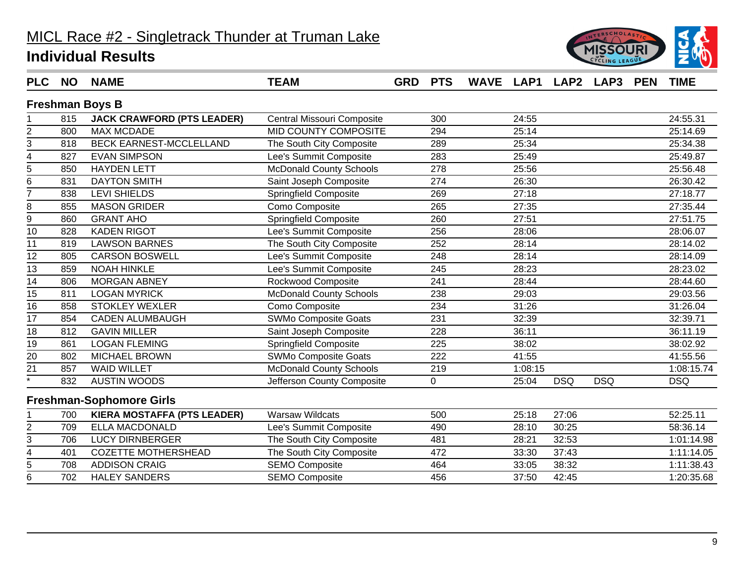

| <b>PLC</b>              | <b>NO</b> | <b>NAME</b>                        | <b>TEAM</b>                    | <b>GRD</b> | <b>PTS</b> | WAVE LAP1 LAP2 LAP3 |         |            |            | <b>PEN</b> | <b>TIME</b> |
|-------------------------|-----------|------------------------------------|--------------------------------|------------|------------|---------------------|---------|------------|------------|------------|-------------|
|                         |           | <b>Freshman Boys B</b>             |                                |            |            |                     |         |            |            |            |             |
|                         | 815       | <b>JACK CRAWFORD (PTS LEADER)</b>  | Central Missouri Composite     |            | 300        |                     | 24:55   |            |            |            | 24:55.31    |
| $\overline{\mathbf{c}}$ | 800       | <b>MAX MCDADE</b>                  | MID COUNTY COMPOSITE           |            | 294        |                     | 25:14   |            |            |            | 25:14.69    |
| 3                       | 818       | <b>BECK EARNEST-MCCLELLAND</b>     | The South City Composite       |            | 289        |                     | 25:34   |            |            |            | 25:34.38    |
| $\overline{\mathbf{4}}$ | 827       | <b>EVAN SIMPSON</b>                | Lee's Summit Composite         |            | 283        |                     | 25:49   |            |            |            | 25:49.87    |
| $\overline{5}$          | 850       | <b>HAYDEN LETT</b>                 | <b>McDonald County Schools</b> |            | 278        |                     | 25:56   |            |            |            | 25:56.48    |
| 6                       | 831       | <b>DAYTON SMITH</b>                | Saint Joseph Composite         |            | 274        |                     | 26:30   |            |            |            | 26:30.42    |
| $\overline{7}$          | 838       | <b>LEVI SHIELDS</b>                | <b>Springfield Composite</b>   |            | 269        |                     | 27:18   |            |            |            | 27:18.77    |
| 8                       | 855       | <b>MASON GRIDER</b>                | Como Composite                 |            | 265        |                     | 27:35   |            |            |            | 27:35.44    |
| $\overline{9}$          | 860       | <b>GRANT AHO</b>                   | <b>Springfield Composite</b>   |            | 260        |                     | 27:51   |            |            |            | 27:51.75    |
| 10                      | 828       | <b>KADEN RIGOT</b>                 | Lee's Summit Composite         |            | 256        |                     | 28:06   |            |            |            | 28:06.07    |
| 11                      | 819       | <b>LAWSON BARNES</b>               | The South City Composite       |            | 252        |                     | 28:14   |            |            |            | 28:14.02    |
| 12                      | 805       | <b>CARSON BOSWELL</b>              | Lee's Summit Composite         |            | 248        |                     | 28:14   |            |            |            | 28:14.09    |
| $\overline{13}$         | 859       | <b>NOAH HINKLE</b>                 | Lee's Summit Composite         |            | 245        |                     | 28:23   |            |            |            | 28:23.02    |
| 14                      | 806       | <b>MORGAN ABNEY</b>                | Rockwood Composite             |            | 241        |                     | 28:44   |            |            |            | 28:44.60    |
| 15                      | 811       | <b>LOGAN MYRICK</b>                | McDonald County Schools        |            | 238        |                     | 29:03   |            |            |            | 29:03.56    |
| 16                      | 858       | <b>STOKLEY WEXLER</b>              | Como Composite                 |            | 234        |                     | 31:26   |            |            |            | 31:26.04    |
| $\overline{17}$         | 854       | <b>CADEN ALUMBAUGH</b>             | <b>SWMo Composite Goats</b>    |            | 231        |                     | 32:39   |            |            |            | 32:39.71    |
| 18                      | 812       | <b>GAVIN MILLER</b>                | Saint Joseph Composite         |            | 228        |                     | 36:11   |            |            |            | 36:11.19    |
| $\overline{19}$         | 861       | <b>LOGAN FLEMING</b>               | <b>Springfield Composite</b>   |            | 225        |                     | 38:02   |            |            |            | 38:02.92    |
| 20                      | 802       | <b>MICHAEL BROWN</b>               | SWMo Composite Goats           |            | 222        |                     | 41:55   |            |            |            | 41:55.56    |
| $\overline{21}$         | 857       | <b>WAID WILLET</b>                 | <b>McDonald County Schools</b> |            | 219        |                     | 1:08:15 |            |            |            | 1:08:15.74  |
| $\overline{\ast}$       | 832       | <b>AUSTIN WOODS</b>                | Jefferson County Composite     |            | 0          |                     | 25:04   | <b>DSQ</b> | <b>DSQ</b> |            | <b>DSQ</b>  |
|                         |           | <b>Freshman-Sophomore Girls</b>    |                                |            |            |                     |         |            |            |            |             |
|                         | 700       | <b>KIERA MOSTAFFA (PTS LEADER)</b> | <b>Warsaw Wildcats</b>         |            | 500        |                     | 25:18   | 27:06      |            |            | 52:25.11    |
| $\overline{c}$          | 709       | <b>ELLA MACDONALD</b>              | Lee's Summit Composite         |            | 490        |                     | 28:10   | 30:25      |            |            | 58:36.14    |
| $\overline{3}$          | 706       | <b>LUCY DIRNBERGER</b>             | The South City Composite       |            | 481        |                     | 28:21   | 32:53      |            |            | 1:01:14.98  |
| $\overline{\mathbf{4}}$ | 401       | <b>COZETTE MOTHERSHEAD</b>         | The South City Composite       |            | 472        |                     | 33:30   | 37:43      |            |            | 1:11:14.05  |
| $\overline{5}$          | 708       | <b>ADDISON CRAIG</b>               | <b>SEMO Composite</b>          |            | 464        |                     | 33:05   | 38:32      |            |            | 1:11:38.43  |
| 6                       | 702       | <b>HALEY SANDERS</b>               | <b>SEMO Composite</b>          |            | 456        |                     | 37:50   | 42:45      |            |            | 1:20:35.68  |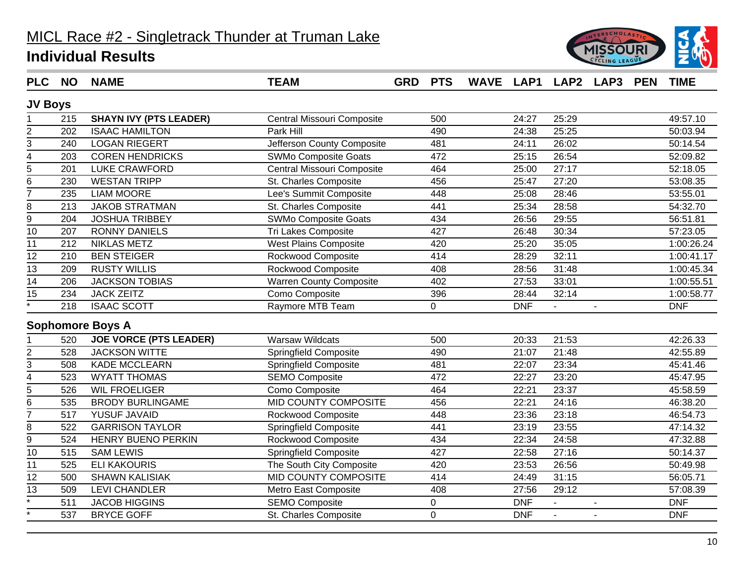

| <b>PLC</b>              | <b>NO</b> | <b>NAME</b>                   | <b>TEAM</b>                    | <b>GRD</b> | <b>PTS</b> |            | WAVE LAP1 LAP2 LAP3 |                | <b>PEN</b> | <b>TIME</b> |
|-------------------------|-----------|-------------------------------|--------------------------------|------------|------------|------------|---------------------|----------------|------------|-------------|
| <b>JV Boys</b>          |           |                               |                                |            |            |            |                     |                |            |             |
|                         | 215       | <b>SHAYN IVY (PTS LEADER)</b> | Central Missouri Composite     |            | 500        | 24:27      | 25:29               |                |            | 49:57.10    |
| $\overline{2}$          | 202       | <b>ISAAC HAMILTON</b>         | Park Hill                      |            | 490        | 24:38      | 25:25               |                |            | 50:03.94    |
| 3                       | 240       | <b>LOGAN RIEGERT</b>          | Jefferson County Composite     |            | 481        | 24:11      | 26:02               |                |            | 50:14.54    |
| 4                       | 203       | <b>COREN HENDRICKS</b>        | SWMo Composite Goats           |            | 472        | 25:15      | 26:54               |                |            | 52:09.82    |
| 5                       | 201       | LUKE CRAWFORD                 | Central Missouri Composite     |            | 464        | 25:00      | 27:17               |                |            | 52:18.05    |
| 6                       | 230       | <b>WESTAN TRIPP</b>           | St. Charles Composite          |            | 456        | 25:47      | 27:20               |                |            | 53:08.35    |
| $\overline{7}$          | 235       | <b>LIAM MOORE</b>             | Lee's Summit Composite         |            | 448        | 25:08      | 28:46               |                |            | 53:55.01    |
| 8                       | 213       | <b>JAKOB STRATMAN</b>         | St. Charles Composite          |            | 441        | 25:34      | 28:58               |                |            | 54:32.70    |
| 9                       | 204       | <b>JOSHUA TRIBBEY</b>         | <b>SWMo Composite Goats</b>    |            | 434        | 26:56      | 29:55               |                |            | 56:51.81    |
| 10                      | 207       | <b>RONNY DANIELS</b>          | <b>Tri Lakes Composite</b>     |            | 427        | 26:48      | 30:34               |                |            | 57:23.05    |
| 11                      | 212       | <b>NIKLAS METZ</b>            | <b>West Plains Composite</b>   |            | 420        | 25:20      | 35:05               |                |            | 1:00:26.24  |
| $\overline{12}$         | 210       | <b>BEN STEIGER</b>            | Rockwood Composite             |            | 414        | 28:29      | 32:11               |                |            | 1:00:41.17  |
| $\overline{13}$         | 209       | <b>RUSTY WILLIS</b>           | Rockwood Composite             |            | 408        | 28:56      | 31:48               |                |            | 1:00:45.34  |
| 14                      | 206       | <b>JACKSON TOBIAS</b>         | <b>Warren County Composite</b> |            | 402        | 27:53      | 33:01               |                |            | 1:00:55.51  |
| 15                      | 234       | <b>JACK ZEITZ</b>             | Como Composite                 |            | 396        | 28:44      | 32:14               |                |            | 1:00:58.77  |
|                         | 218       | <b>ISAAC SCOTT</b>            | Raymore MTB Team               |            | 0          | <b>DNF</b> | $\blacksquare$      |                |            | <b>DNF</b>  |
|                         |           | <b>Sophomore Boys A</b>       |                                |            |            |            |                     |                |            |             |
|                         | 520       | <b>JOE VORCE (PTS LEADER)</b> | <b>Warsaw Wildcats</b>         |            | 500        | 20:33      | 21:53               |                |            | 42:26.33    |
| $\overline{c}$          | 528       | <b>JACKSON WITTE</b>          | Springfield Composite          |            | 490        | 21:07      | 21:48               |                |            | 42:55.89    |
| 3                       | 508       | <b>KADE MCCLEARN</b>          | <b>Springfield Composite</b>   |            | 481        | 22:07      | 23:34               |                |            | 45:41.46    |
| $\overline{\mathbf{4}}$ | 523       | <b>WYATT THOMAS</b>           | <b>SEMO Composite</b>          |            | 472        | 22:27      | 23:20               |                |            | 45:47.95    |
| 5                       | 526       | <b>WIL FROELIGER</b>          | Como Composite                 |            | 464        | 22:21      | 23:37               |                |            | 45:58.59    |
| 6                       | 535       | <b>BRODY BURLINGAME</b>       | MID COUNTY COMPOSITE           |            | 456        | 22:21      | 24:16               |                |            | 46:38.20    |
| $\overline{7}$          | 517       | <b>YUSUF JAVAID</b>           | Rockwood Composite             |            | 448        | 23:36      | 23:18               |                |            | 46:54.73    |
| 8                       | 522       | <b>GARRISON TAYLOR</b>        | <b>Springfield Composite</b>   |            | 441        | 23:19      | 23:55               |                |            | 47:14.32    |
| 9                       | 524       | <b>HENRY BUENO PERKIN</b>     | <b>Rockwood Composite</b>      |            | 434        | 22:34      | 24:58               |                |            | 47:32.88    |
| 10                      | 515       | <b>SAM LEWIS</b>              | <b>Springfield Composite</b>   |            | 427        | 22:58      | 27:16               |                |            | 50:14.37    |
| 11                      | 525       | <b>ELI KAKOURIS</b>           | The South City Composite       |            | 420        | 23:53      | 26:56               |                |            | 50:49.98    |
| $\overline{12}$         | 500       | <b>SHAWN KALISIAK</b>         | <b>MID COUNTY COMPOSITE</b>    |            | 414        | 24:49      | 31:15               |                |            | 56:05.71    |
| 13                      | 509       | <b>LEVI CHANDLER</b>          | Metro East Composite           |            | 408        | 27:56      | 29:12               |                |            | 57:08.39    |
|                         | 511       | <b>JACOB HIGGINS</b>          | <b>SEMO Composite</b>          |            | 0          | <b>DNF</b> | $\overline{a}$      | $\blacksquare$ |            | <b>DNF</b>  |
|                         | 537       | <b>BRYCE GOFF</b>             | St. Charles Composite          |            | 0          | <b>DNF</b> | $\blacksquare$      | $\overline{a}$ |            | <b>DNF</b>  |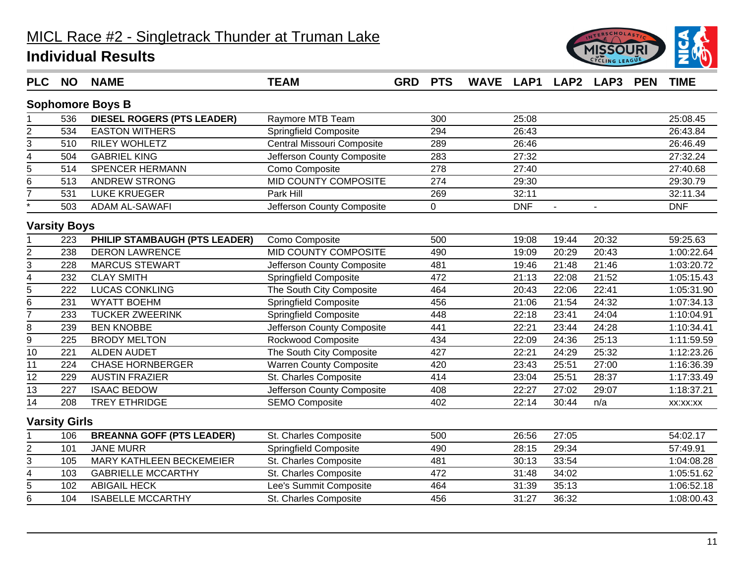

| <b>PLC</b>              | <b>NO</b>            | <b>NAME</b>                       | <b>TEAM</b>                    | <b>GRD</b> | <b>PTS</b>  |            |                | WAVE LAP1 LAP2 LAP3 | <b>PEN</b> | <b>TIME</b> |
|-------------------------|----------------------|-----------------------------------|--------------------------------|------------|-------------|------------|----------------|---------------------|------------|-------------|
|                         |                      | <b>Sophomore Boys B</b>           |                                |            |             |            |                |                     |            |             |
|                         | 536                  | <b>DIESEL ROGERS (PTS LEADER)</b> | Raymore MTB Team               |            | 300         | 25:08      |                |                     |            | 25:08.45    |
| 2                       | 534                  | <b>EASTON WITHERS</b>             | <b>Springfield Composite</b>   |            | 294         | 26:43      |                |                     |            | 26:43.84    |
| $\overline{3}$          | 510                  | RILEY WOHLETZ                     | Central Missouri Composite     |            | 289         | 26:46      |                |                     |            | 26:46.49    |
| $\overline{\mathbf{4}}$ | 504                  | <b>GABRIEL KING</b>               | Jefferson County Composite     |            | 283         | 27:32      |                |                     |            | 27:32.24    |
| $\overline{5}$          | 514                  | SPENCER HERMANN                   | Como Composite                 |            | 278         | 27:40      |                |                     |            | 27:40.68    |
| $\overline{6}$          | 513                  | <b>ANDREW STRONG</b>              | MID COUNTY COMPOSITE           |            | 274         | 29:30      |                |                     |            | 29:30.79    |
| $\overline{7}$          | 531                  | <b>LUKE KRUEGER</b>               | Park Hill                      |            | 269         | 32:11      |                |                     |            | 32:11.34    |
|                         | 503                  | <b>ADAM AL-SAWAFI</b>             | Jefferson County Composite     |            | $\mathbf 0$ | <b>DNF</b> | $\overline{a}$ |                     |            | <b>DNF</b>  |
|                         | <b>Varsity Boys</b>  |                                   |                                |            |             |            |                |                     |            |             |
|                         | 223                  | PHILIP STAMBAUGH (PTS LEADER)     | Como Composite                 |            | 500         | 19:08      | 19:44          | 20:32               |            | 59:25.63    |
| $\overline{2}$          | 238                  | <b>DERON LAWRENCE</b>             | MID COUNTY COMPOSITE           |            | 490         | 19:09      | 20:29          | 20:43               |            | 1:00:22.64  |
| $\overline{3}$          | 228                  | <b>MARCUS STEWART</b>             | Jefferson County Composite     |            | 481         | 19:46      | 21:48          | 21:46               |            | 1:03:20.72  |
| $\overline{4}$          | 232                  | <b>CLAY SMITH</b>                 | <b>Springfield Composite</b>   |            | 472         | 21:13      | 22:08          | 21:52               |            | 1:05:15.43  |
| $\overline{5}$          | 222                  | <b>LUCAS CONKLING</b>             | The South City Composite       |            | 464         | 20:43      | 22:06          | 22:41               |            | 1:05:31.90  |
| $\overline{6}$          | 231                  | <b>WYATT BOEHM</b>                | <b>Springfield Composite</b>   |            | 456         | 21:06      | 21:54          | 24:32               |            | 1:07:34.13  |
| $\overline{7}$          | 233                  | <b>TUCKER ZWEERINK</b>            | <b>Springfield Composite</b>   |            | 448         | 22:18      | 23:41          | 24:04               |            | 1:10:04.91  |
| 8                       | 239                  | <b>BEN KNOBBE</b>                 | Jefferson County Composite     |            | 441         | 22:21      | 23:44          | 24:28               |            | 1:10:34.41  |
| $\overline{9}$          | 225                  | <b>BRODY MELTON</b>               | Rockwood Composite             |            | 434         | 22:09      | 24:36          | 25:13               |            | 1:11:59.59  |
| 10                      | 221                  | <b>ALDEN AUDET</b>                | The South City Composite       |            | 427         | 22:21      | 24:29          | 25:32               |            | 1:12:23.26  |
| 11                      | 224                  | <b>CHASE HORNBERGER</b>           | <b>Warren County Composite</b> |            | 420         | 23:43      | 25:51          | 27:00               |            | 1:16:36.39  |
| $\overline{12}$         | 229                  | <b>AUSTIN FRAZIER</b>             | St. Charles Composite          |            | 414         | 23:04      | 25:51          | 28:37               |            | 1:17:33.49  |
| 13                      | 227                  | <b>ISAAC BEDOW</b>                | Jefferson County Composite     |            | 408         | 22:27      | 27:02          | 29:07               |            | 1:18:37.21  |
| $\overline{14}$         | 208                  | <b>TREY ETHRIDGE</b>              | <b>SEMO Composite</b>          |            | 402         | 22:14      | 30:44          | n/a                 |            | XX:XX:XX    |
|                         | <b>Varsity Girls</b> |                                   |                                |            |             |            |                |                     |            |             |
|                         | 106                  | <b>BREANNA GOFF (PTS LEADER)</b>  | St. Charles Composite          |            | 500         | 26:56      | 27:05          |                     |            | 54:02.17    |
|                         | 101                  | <b>JANE MURR</b>                  | <b>Springfield Composite</b>   |            | 490         | 28:15      | 29:34          |                     |            | 57:49.91    |
| $rac{2}{3}$             | 105                  | <b>MARY KATHLEEN BECKEMEIER</b>   | St. Charles Composite          |            | 481         | 30:13      | 33:54          |                     |            | 1:04:08.28  |
| $\overline{4}$          | 103                  | <b>GABRIELLE MCCARTHY</b>         | St. Charles Composite          |            | 472         | 31:48      | 34:02          |                     |            | 1:05:51.62  |
| 5                       | 102                  | <b>ABIGAIL HECK</b>               | Lee's Summit Composite         |            | 464         | 31:39      | 35:13          |                     |            | 1:06:52.18  |
| $\overline{6}$          | 104                  | <b>ISABELLE MCCARTHY</b>          | St. Charles Composite          |            | 456         | 31:27      | 36:32          |                     |            | 1:08:00.43  |